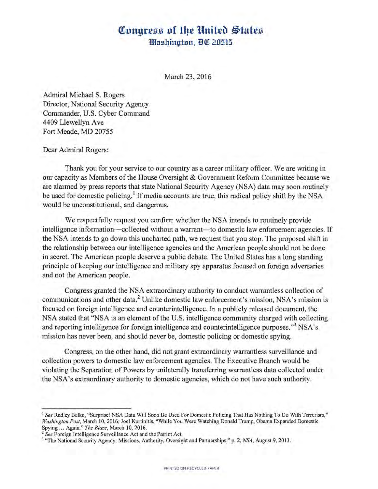## **Congress of the United States** *Hlashinaton, DC 20515*

March 23, 2016

Admiral Michael S. Rogers Director, National Security Agency Commander, U.S. Cyber Command 4409 Llewellyn Ave Fort Meade, MD 20755

Dear Admiral Rogers:

Thank you for your service to our country as a career military officer. We are writing in our capacity as Members of the House Oversight & Government Reform Committee because we are alarmed by press reports that state National Security Agency (NSA) data may soon routinely be used for domestic policing.<sup>1</sup> If media accounts are true, this radical policy shift by the NSA would be unconstitutional, and dangerous.

We respectfully request you confirm whether the NSA intends to routinely provide intelligence information-collected without a warrant-to domestic law enforcement agencies. If the NSA intends to go down this uncharted path, we request that you stop. The proposed shift in the relationship between our intelligence agencies and the American people should not be done in secret. The American people deserve a public debate. The United States has a long standing principle of keeping our intelligence and military spy apparatus focused on foreign adversaries and not the American people.

Congress granted the NSA extraordinary authority to conduct warrantless collection of communications and other data.<sup>2</sup> Unlike domestic law enforcement's mission, NSA's mission is focused on foreign intelligence and counterintelligence. In a publicly released document, the NSA stated that "NSA is an element of the U.S. intelligence community charged with collecting and reporting intelligence for foreign intelligence and counterintelligence purposes."<sup>3</sup> NSA's mission has never been, and should never be, domestic policing or domestic spying.

Congress, on the other hand, did not grant extraordinary warrantless surveillance and collection powers to domestic law enforcement agencies. The Executive Branch would be violating the Separation of Powers by unilaterally transferring warrantless data collected under the NSA's extraordinary authority to domestic agencies, which do not have such authority.

<sup>&</sup>lt;sup>1</sup> See Radley Balko, "Surprise! NSA Data Will Soon Be Used For Domestic Policing That Has Nothing To Do With Terrorism," *Washington Post,* March 10, 2016; Joel Kurtinitis, "While You Were Watching Donald Trump, Obama Expanded Domestic Spying ... Again," *The Blaze*, March 10, 2016.<br><sup>2</sup> See Foreign Intelligence Surveillance Act and the Patriot Act.

<sup>&</sup>lt;sup>3</sup> "The National Security Agency: Missions, Authority, Oversight and Partnerships," p. 2, *NSA*, August 9, 2013.